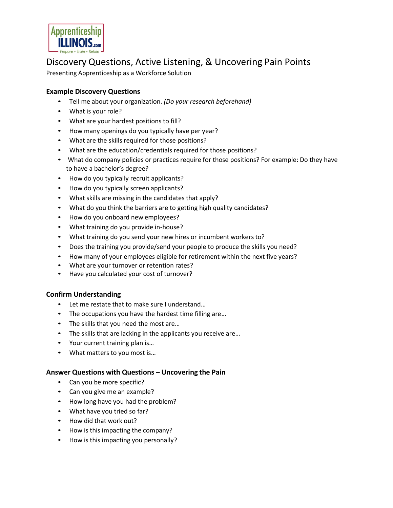

# Discovery Questions, Active Listening, & Uncovering Pain Points

Presenting Apprenticeship as a Workforce Solution

### **Example Discovery Questions**

- Tell me about your organization. *(Do your research beforehand)*
- What is your role?
- What are your hardest positions to fill?
- How many openings do you typically have per year?
- What are the skills required for those positions?
- What are the education/credentials required for those positions?
- What do company policies or practices require for those positions? For example: Do they have to have a bachelor's degree?
- How do you typically recruit applicants?
- How do you typically screen applicants?
- What skills are missing in the candidates that apply?
- What do you think the barriers are to getting high quality candidates?
- How do you onboard new employees?
- What training do you provide in-house?
- What training do you send your new hires or incumbent workers to?
- Does the training you provide/send your people to produce the skills you need?
- How many of your employees eligible for retirement within the next five years?
- What are your turnover or retention rates?
- Have you calculated your cost of turnover?

## **Confirm Understanding**

- Let me restate that to make sure I understand…
- The occupations you have the hardest time filling are...
- The skills that you need the most are...
- The skills that are lacking in the applicants you receive are...
- Your current training plan is…
- What matters to you most is…

#### **Answer Questions with Questions – Uncovering the Pain**

- Can you be more specific?
- Can you give me an example?
- How long have you had the problem?
- What have you tried so far?
- How did that work out?
- How is this impacting the company?
- How is this impacting you personally?